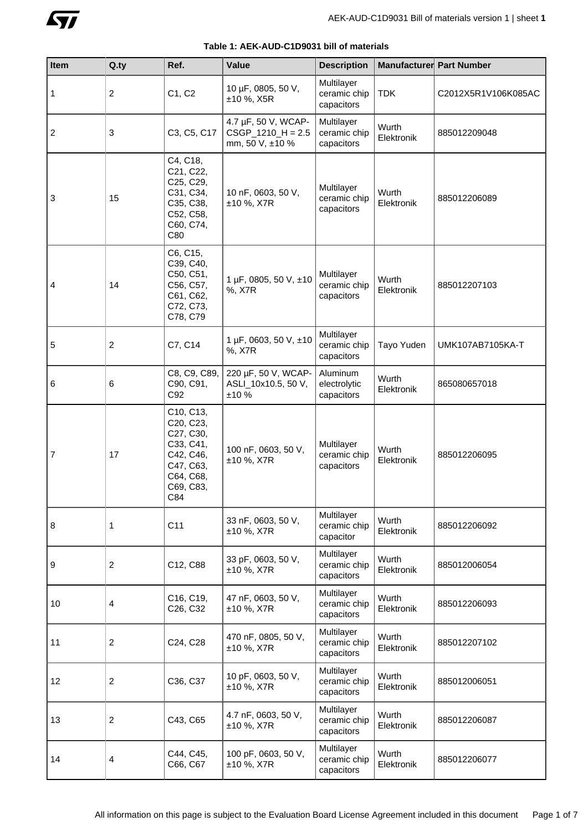

#### **Item Q.ty Ref. Value Description Manufacturer Part Number** 1  $\begin{vmatrix} 2 & 10 \end{vmatrix}$  C1, C2  $\begin{vmatrix} 10 \ \text{µF}, 0805, 50 \end{vmatrix}$ ±10 %, X5R Multilayer ceramic chip capacitors TDK C2012X5R1V106K085AC 2 | 3 | C3, C5, C17 4.7 µF, 50 V, WCAP-CSGP\_1210\_H = 2.5 mm, 50 V, ±10 % Multilayer ceramic chip capacitors **Wurth** Elektronik <sup>885012209048</sup> 3 15 C4, C18, C21, C22, C25, C29, C31, C34, C35, C38, C52, C58, C60, C74, C80 10 nF, 0603, 50 V, ±10 %, X7R Multilayer ceramic chip capacitors Wurth<br>Elektronik Elektronik <sup>885012206089</sup> 4 14 C6, C15, C39, C40, C50, C51, C56, C57, C61, C62, C72, C73, C78, C79 1 µF, 0805, 50 V, ±10 %, X7R Multilayer ceramic chip capacitors **Wurth** Elektronik <sup>885012207103</sup> 5  $2$  C7, C14  $1 \mu F$ , 0603, 50 V, ±10 %, X7R Multilayer ceramic chip capacitors Tayo Yuden | UMK107AB7105KA-T 6 6 C8, C9, C89, C90, C91, C92 220 µF, 50 V, WCAP-ASLI\_10x10.5, 50 V, ±10 % Aluminum electrolytic capacitors Wurth Elektronik <sup>865080657018</sup> 7 | 17 C10, C13, C20, C23, C27, C30, C33, C41, C42, C46, C47, C63, C64, C68, C69, C83, C84 100 nF, 0603, 50 V, ±10 %, X7R Multilayer ceramic chip capacitors Wurth<br>Elektronik Elektronik <sup>885012206095</sup> 8  $1 \t C11$  33 nF, 0603, 50 V, ±10 %, X7R Multilayer ceramic chip capacitor Wurth Elektronik <sup>885012206092</sup> <sup>9</sup> <sup>2</sup> C12, C88 33 pF, 0603, 50 V, ±10 %, X7R Multilayer ceramic chip capacitors **Wurth** Elektronik <sup>885012006054</sup> 10 4 C16, C19, C26, C32 47 nF, 0603, 50 V, ±10 %, X7R Multilayer ceramic chip capacitors **Wurth** Elektronik <sup>885012206093</sup> 11  $\begin{vmatrix} 2 \end{vmatrix}$  C24, C28  $\begin{vmatrix} 470 \text{ nF} & 0805 & 50 \end{vmatrix}$ ±10 %, X7R Multilayer ceramic chip capacitors **Wurth** Elektronik <sup>885012207102</sup> 12  $\begin{array}{|c|c|c|c|c|}\n\hline\n2 & \phantom{0} & \phantom{0} & \phantom{0} & \phantom{0} & \phantom{0} & \phantom{0} & \phantom{0} & \phantom{0} & \phantom{0} & \phantom{0} & \phantom{0} & \phantom{0} & \phantom{0} & \phantom{0} & \phantom{0} & \phantom{0} & \phantom{0} & \phantom{0} & \phantom{0} & \phantom{0} & \phantom{0} & \phantom{0} & \phantom{0} & \phantom{0} & \phantom{0} & \phantom{0} & \phantom{0} & \phantom{$ ±10 %, X7R Multilayer ceramic chip capacitors **Wurth** Elektronik <sup>885012006051</sup> 13  $\begin{array}{|c|c|c|c|c|}\n\hline\n2 & \text{C43. C65} & \text{4.7 nF, 0603, 50 V,} \\
\hline\n\end{array}$ ±10 %, X7R Multilayer ceramic chip capacitors **Wurth** Elektronik <sup>885012206087</sup> 14 4 C44, C45, C66, C67 100 pF, 0603, 50 V, ±10 %, X7R Multilayer ceramic chip capacitors **Wurth** Elektronik <sup>885012206077</sup>

## **Table 1: AEK-AUD-C1D9031 bill of materials**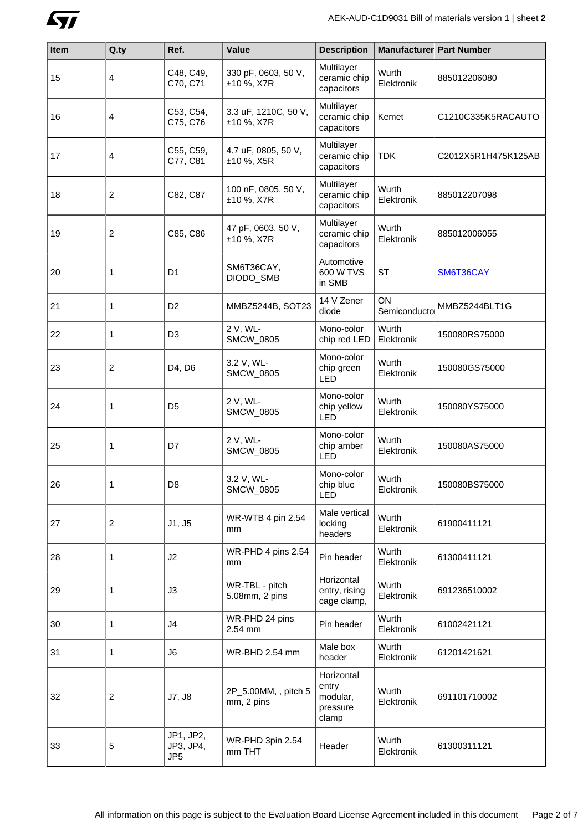

| Item | Q.ty                    | Ref.                                      | Value                              | <b>Description</b>                                   |                     | <b>Manufacturer Part Number</b> |
|------|-------------------------|-------------------------------------------|------------------------------------|------------------------------------------------------|---------------------|---------------------------------|
| 15   | $\overline{\mathbf{4}}$ | C48, C49,<br>C70, C71                     | 330 pF, 0603, 50 V,<br>±10 %, X7R  | Multilayer<br>ceramic chip<br>capacitors             | Wurth<br>Elektronik | 885012206080                    |
| 16   | 4                       | C53, C54,<br>C75, C76                     | 3.3 uF, 1210C, 50 V,<br>±10 %, X7R | Multilayer<br>ceramic chip<br>capacitors             | Kemet               | C1210C335K5RACAUTO              |
| 17   | $\overline{\mathbf{4}}$ | C55, C59,<br>C77, C81                     | 4.7 uF, 0805, 50 V,<br>±10 %, X5R  | Multilayer<br>ceramic chip<br>capacitors             | <b>TDK</b>          | C2012X5R1H475K125AB             |
| 18   | 2                       | C82, C87                                  | 100 nF, 0805, 50 V,<br>±10 %, X7R  | Multilayer<br>ceramic chip<br>capacitors             | Wurth<br>Elektronik | 885012207098                    |
| 19   | $\overline{c}$          | C85, C86                                  | 47 pF, 0603, 50 V,<br>±10 %, X7R   | Multilayer<br>ceramic chip<br>capacitors             | Wurth<br>Elektronik | 885012006055                    |
| 20   | 1                       | D <sub>1</sub>                            | SM6T36CAY,<br>DIODO_SMB            | Automotive<br>600 W TVS<br>in SMB                    | <b>ST</b>           | SM6T36CAY                       |
| 21   | 1                       | D <sub>2</sub>                            | MMBZ5244B, SOT23                   | 14 V Zener<br>diode                                  | ON<br>Semiconducto  | MMBZ5244BLT1G                   |
| 22   | $\mathbf 1$             | D <sub>3</sub>                            | 2 V, WL-<br>SMCW_0805              | Mono-color<br>chip red LED                           | Wurth<br>Elektronik | 150080RS75000                   |
| 23   | 2                       | D4, D6                                    | 3.2 V, WL-<br>SMCW_0805            | Mono-color<br>chip green<br>LED                      | Wurth<br>Elektronik | 150080GS75000                   |
| 24   | 1                       | D <sub>5</sub>                            | 2 V, WL-<br>SMCW_0805              | Mono-color<br>chip yellow<br>LED                     | Wurth<br>Elektronik | 150080YS75000                   |
| 25   | 1                       | D7                                        | 2 V, WL-<br>SMCW_0805              | Mono-color<br>chip amber<br>LED                      | Wurth<br>Elektronik | 150080AS75000                   |
| 26   | 1                       | D8                                        | 3.2 V, WL-<br>SMCW_0805            | Mono-color<br>chip blue<br><b>LED</b>                | Wurth<br>Elektronik | 150080BS75000                   |
| 27   | $\overline{c}$          | J1, J5                                    | WR-WTB 4 pin 2.54<br>mm            | Male vertical<br>locking<br>headers                  | Wurth<br>Elektronik | 61900411121                     |
| 28   | 1                       | J <sub>2</sub>                            | WR-PHD 4 pins 2.54<br>mm           | Pin header                                           | Wurth<br>Elektronik | 61300411121                     |
| 29   | 1                       | J3                                        | WR-TBL - pitch<br>5.08mm, 2 pins   | Horizontal<br>entry, rising<br>cage clamp,           | Wurth<br>Elektronik | 691236510002                    |
| 30   | $\mathbf{1}$            | J4                                        | WR-PHD 24 pins<br>2.54 mm          | Pin header                                           | Wurth<br>Elektronik | 61002421121                     |
| 31   | 1                       | J6                                        | WR-BHD 2.54 mm                     | Male box<br>header                                   | Wurth<br>Elektronik | 61201421621                     |
| 32   | $\boldsymbol{2}$        | J7, J8                                    | 2P_5.00MM, , pitch 5<br>mm, 2 pins | Horizontal<br>entry<br>modular,<br>pressure<br>clamp | Wurth<br>Elektronik | 691101710002                    |
| 33   | 5                       | JP1, JP2,<br>JP3, JP4,<br>JP <sub>5</sub> | WR-PHD 3pin 2.54<br>mm THT         | Header                                               | Wurth<br>Elektronik | 61300311121                     |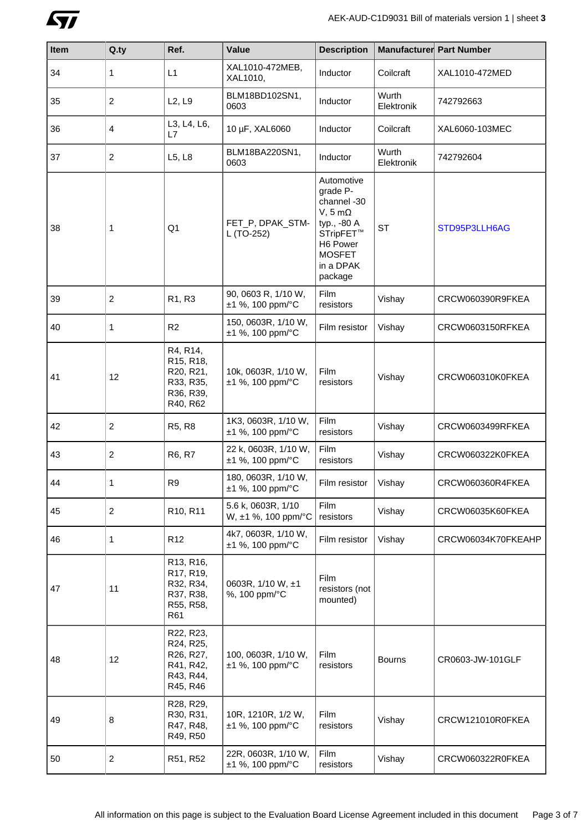

| Item | Q.ty             | Ref.                                                                                                | Value                                        | <b>Description</b>                                                                                                                       |                     | Manufacturer Part Number |
|------|------------------|-----------------------------------------------------------------------------------------------------|----------------------------------------------|------------------------------------------------------------------------------------------------------------------------------------------|---------------------|--------------------------|
| 34   | 1                | L1                                                                                                  | XAL1010-472MEB,<br>XAL1010,                  | Inductor                                                                                                                                 | Coilcraft           | XAL1010-472MED           |
| 35   | $\boldsymbol{2}$ | L <sub>2</sub> , L <sub>9</sub>                                                                     | BLM18BD102SN1,<br>0603                       | Inductor                                                                                                                                 | Wurth<br>Elektronik | 742792663                |
| 36   | $\overline{4}$   | L3, L4, L6,<br>L7                                                                                   | 10 µF, XAL6060                               | Inductor                                                                                                                                 | Coilcraft           | XAL6060-103MEC           |
| 37   | $\sqrt{2}$       | L5, L8                                                                                              | BLM18BA220SN1,<br>0603                       | Inductor                                                                                                                                 | Wurth<br>Elektronik | 742792604                |
| 38   | 1                | Q1                                                                                                  | FET_P, DPAK_STM-<br>L (TO-252)               | Automotive<br>grade P-<br>channel -30<br>$V, 5 m\Omega$<br>typ., -80 A<br>STripFET™<br>H6 Power<br><b>MOSFET</b><br>in a DPAK<br>package | <b>ST</b>           | STD95P3LLH6AG            |
| 39   | $\boldsymbol{2}$ | R <sub>1</sub> , R <sub>3</sub>                                                                     | 90, 0603 R, 1/10 W,<br>$±1$ %, 100 ppm/ $°C$ | Film<br>resistors                                                                                                                        | Vishay              | CRCW060390R9FKEA         |
| 40   | 1                | R <sub>2</sub>                                                                                      | 150, 0603R, 1/10 W,<br>±1 %, 100 ppm/°C      | Film resistor                                                                                                                            | Vishay              | CRCW0603150RFKEA         |
| 41   | 12               | R4, R14,<br>R <sub>15</sub> , R <sub>18</sub> ,<br>R20, R21,<br>R33, R35,<br>R36, R39,<br>R40, R62  | 10k, 0603R, 1/10 W,<br>$±1$ %, 100 ppm/ $°C$ | Film<br>resistors                                                                                                                        | Vishay              | CRCW060310K0FKEA         |
| 42   | $\overline{c}$   | <b>R5, R8</b>                                                                                       | 1K3, 0603R, 1/10 W,<br>±1 %, 100 ppm/°C      | Film<br>resistors                                                                                                                        | Vishay              | CRCW0603499RFKEA         |
| 43   | $\overline{c}$   | R6, R7                                                                                              | 22 k, 0603R, 1/10 W,<br>±1 %, 100 ppm/°C     | Film<br>resistors                                                                                                                        | Vishay              | CRCW060322K0FKEA         |
| 44   | 1                | R <sub>9</sub>                                                                                      | 180, 0603R, 1/10 W,<br>±1 %, 100 ppm/°C      | Film resistor                                                                                                                            | Vishay              | CRCW060360R4FKEA         |
| 45   | $\overline{c}$   | R <sub>10</sub> , R <sub>11</sub>                                                                   | 5.6 k, 0603R, 1/10<br>W, ±1 %, 100 ppm/°C    | Film<br>resistors                                                                                                                        | Vishay              | CRCW06035K60FKEA         |
| 46   | 1                | R <sub>12</sub>                                                                                     | 4k7, 0603R, 1/10 W,<br>$±1$ %, 100 ppm/ $°C$ | Film resistor                                                                                                                            | Vishay              | CRCW06034K70FKEAHP       |
| 47   | 11               | R13, R16,<br>R17, R19,<br>R32, R34,<br>R37, R38,<br>R55, R58,<br>R61                                | 0603R, 1/10 W, ±1<br>%, 100 ppm/°C           | Film<br>resistors (not<br>mounted)                                                                                                       |                     |                          |
| 48   | 12               | R22, R23,<br>R <sub>24</sub> , R <sub>25</sub> ,<br>R26, R27,<br>R41, R42,<br>R43, R44,<br>R45, R46 | 100, 0603R, 1/10 W,<br>$±1$ %, 100 ppm/ $°C$ | Film<br>resistors                                                                                                                        | <b>Bourns</b>       | CR0603-JW-101GLF         |
| 49   | 8                | R28, R29,<br>R30, R31,<br>R47, R48,<br>R49, R50                                                     | 10R, 1210R, 1/2 W,<br>$±1$ %, 100 ppm/ $°C$  | Film<br>resistors                                                                                                                        | Vishay              | CRCW121010R0FKEA         |
| 50   | $\overline{2}$   | R51, R52                                                                                            | 22R, 0603R, 1/10 W,<br>±1 %, 100 ppm/°C      | Film<br>resistors                                                                                                                        | Vishay              | CRCW060322R0FKEA         |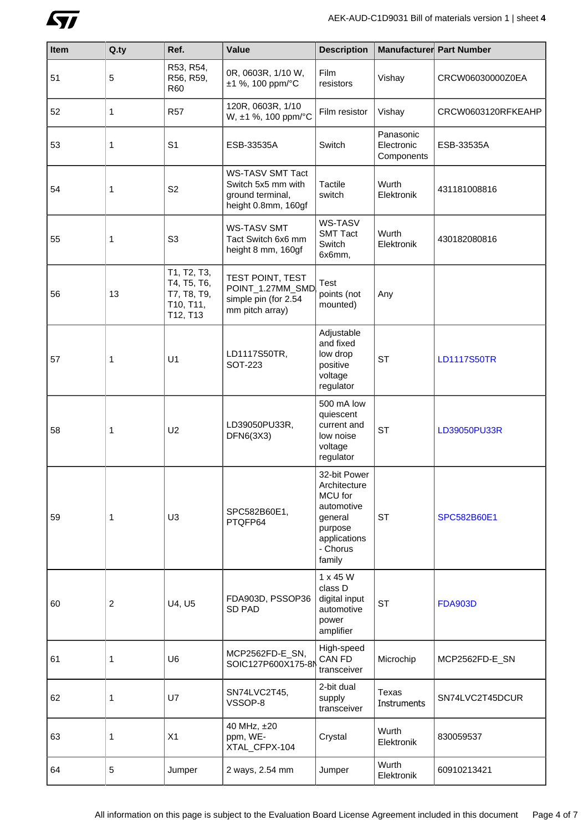

| Item | Q.ty           | Ref.                                                               | Value                                                                                    | <b>Description</b>                                                                                                |                                       | <b>Manufacturer Part Number</b> |
|------|----------------|--------------------------------------------------------------------|------------------------------------------------------------------------------------------|-------------------------------------------------------------------------------------------------------------------|---------------------------------------|---------------------------------|
| 51   | 5              | R53, R54,<br>R56, R59,<br>R60                                      | 0R, 0603R, 1/10 W,<br>±1 %, 100 ppm/°C                                                   | Film<br>resistors                                                                                                 | Vishay                                | CRCW06030000Z0EA                |
| 52   | 1              | <b>R57</b>                                                         | 120R, 0603R, 1/10<br>W, ±1 %, 100 ppm/°C                                                 | Film resistor                                                                                                     | Vishay                                | CRCW0603120RFKEAHP              |
| 53   | 1              | S <sub>1</sub>                                                     | ESB-33535A                                                                               | Switch                                                                                                            | Panasonic<br>Electronic<br>Components | ESB-33535A                      |
| 54   | 1              | S <sub>2</sub>                                                     | <b>WS-TASV SMT Tact</b><br>Switch 5x5 mm with<br>ground terminal,<br>height 0.8mm, 160gf | Tactile<br>switch                                                                                                 | Wurth<br>Elektronik                   | 431181008816                    |
| 55   | 1              | S <sub>3</sub>                                                     | <b>WS-TASV SMT</b><br>Tact Switch 6x6 mm<br>height 8 mm, 160gf                           | WS-TASV<br><b>SMT Tact</b><br>Switch<br>6x6mm,                                                                    | Wurth<br>Elektronik                   | 430182080816                    |
| 56   | 13             | T1, T2, T3,<br>T4, T5, T6,<br>T7, T8, T9,<br>T10, T11,<br>T12, T13 | TEST POINT, TEST<br>POINT_1.27MM_SMD<br>simple pin (for 2.54<br>mm pitch array)          | Test<br>points (not<br>mounted)                                                                                   | Any                                   |                                 |
| 57   | 1              | U1                                                                 | LD1117S50TR,<br><b>SOT-223</b>                                                           | Adjustable<br>and fixed<br>low drop<br>positive<br>voltage<br>regulator                                           | <b>ST</b>                             | <b>LD1117S50TR</b>              |
| 58   | 1              | U <sub>2</sub>                                                     | LD39050PU33R,<br>DFN6(3X3)                                                               | 500 mA low<br>quiescent<br>current and<br>low noise<br>voltage<br>regulator                                       | <b>ST</b>                             | LD39050PU33R                    |
| 59   | 1              | U <sub>3</sub>                                                     | SPC582B60E1,<br>PTQFP64                                                                  | 32-bit Power<br>Architecture<br>MCU for<br>automotive<br>general<br>purpose<br>applications<br>- Chorus<br>family | <b>ST</b>                             | SPC582B60E1                     |
| 60   | $\overline{c}$ | U4, U5                                                             | FDA903D, PSSOP36<br><b>SD PAD</b>                                                        | 1 x 45 W<br>class D<br>digital input<br>automotive<br>power<br>amplifier                                          | <b>ST</b>                             | <b>FDA903D</b>                  |
| 61   | 1              | U <sub>6</sub>                                                     | MCP2562FD-E_SN,<br>SOIC127P600X175-8l                                                    | High-speed<br>CAN FD<br>transceiver                                                                               | Microchip                             | MCP2562FD-E_SN                  |
| 62   | 1              | U7                                                                 | SN74LVC2T45,<br>VSSOP-8                                                                  | 2-bit dual<br>supply<br>transceiver                                                                               | Texas<br>Instruments                  | SN74LVC2T45DCUR                 |
| 63   | 1              | X1                                                                 | 40 MHz, ±20<br>ppm, WE-<br>XTAL_CFPX-104                                                 | Crystal                                                                                                           | Wurth<br>Elektronik                   | 830059537                       |
| 64   | 5              | Jumper                                                             | 2 ways, 2.54 mm                                                                          | Jumper                                                                                                            | Wurth<br>Elektronik                   | 60910213421                     |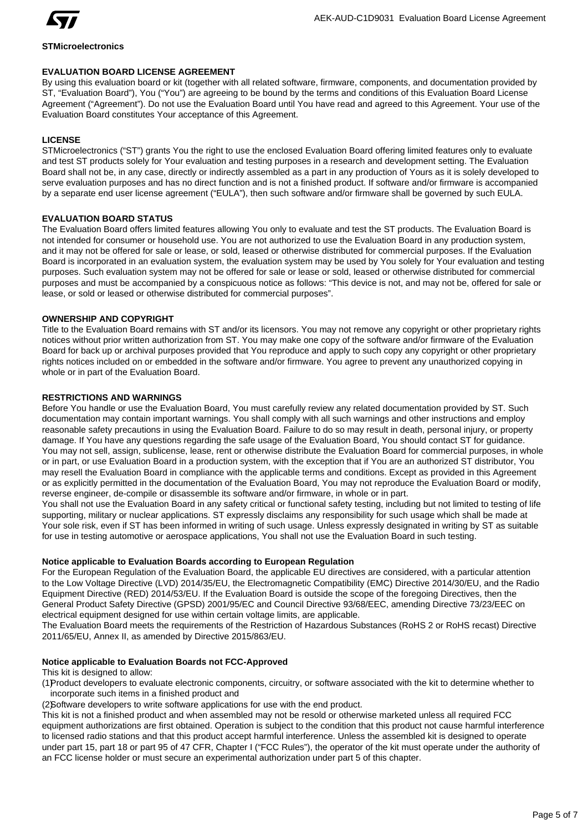

## **STMicroelectronics**

# **EVALUATION BOARD LICENSE AGREEMENT**

By using this evaluation board or kit (together with all related software, firmware, components, and documentation provided by ST, "Evaluation Board"), You ("You") are agreeing to be bound by the terms and conditions of this Evaluation Board License Agreement ("Agreement"). Do not use the Evaluation Board until You have read and agreed to this Agreement. Your use of the Evaluation Board constitutes Your acceptance of this Agreement.

# **LICENSE**

STMicroelectronics ("ST") grants You the right to use the enclosed Evaluation Board offering limited features only to evaluate and test ST products solely for Your evaluation and testing purposes in a research and development setting. The Evaluation Board shall not be, in any case, directly or indirectly assembled as a part in any production of Yours as it is solely developed to serve evaluation purposes and has no direct function and is not a finished product. If software and/or firmware is accompanied by a separate end user license agreement ("EULA"), then such software and/or firmware shall be governed by such EULA.

# **EVALUATION BOARD STATUS**

The Evaluation Board offers limited features allowing You only to evaluate and test the ST products. The Evaluation Board is not intended for consumer or household use. You are not authorized to use the Evaluation Board in any production system, and it may not be offered for sale or lease, or sold, leased or otherwise distributed for commercial purposes. If the Evaluation Board is incorporated in an evaluation system, the evaluation system may be used by You solely for Your evaluation and testing purposes. Such evaluation system may not be offered for sale or lease or sold, leased or otherwise distributed for commercial purposes and must be accompanied by a conspicuous notice as follows: "This device is not, and may not be, offered for sale or lease, or sold or leased or otherwise distributed for commercial purposes".

# **OWNERSHIP AND COPYRIGHT**

Title to the Evaluation Board remains with ST and/or its licensors. You may not remove any copyright or other proprietary rights notices without prior written authorization from ST. You may make one copy of the software and/or firmware of the Evaluation Board for back up or archival purposes provided that You reproduce and apply to such copy any copyright or other proprietary rights notices included on or embedded in the software and/or firmware. You agree to prevent any unauthorized copying in whole or in part of the Evaluation Board.

# **RESTRICTIONS AND WARNINGS**

Before You handle or use the Evaluation Board, You must carefully review any related documentation provided by ST. Such documentation may contain important warnings. You shall comply with all such warnings and other instructions and employ reasonable safety precautions in using the Evaluation Board. Failure to do so may result in death, personal injury, or property damage. If You have any questions regarding the safe usage of the Evaluation Board, You should contact ST for guidance. You may not sell, assign, sublicense, lease, rent or otherwise distribute the Evaluation Board for commercial purposes, in whole or in part, or use Evaluation Board in a production system, with the exception that if You are an authorized ST distributor, You may resell the Evaluation Board in compliance with the applicable terms and conditions. Except as provided in this Agreement or as explicitly permitted in the documentation of the Evaluation Board, You may not reproduce the Evaluation Board or modify, reverse engineer, de-compile or disassemble its software and/or firmware, in whole or in part.

You shall not use the Evaluation Board in any safety critical or functional safety testing, including but not limited to testing of life supporting, military or nuclear applications. ST expressly disclaims any responsibility for such usage which shall be made at Your sole risk, even if ST has been informed in writing of such usage. Unless expressly designated in writing by ST as suitable for use in testing automotive or aerospace applications, You shall not use the Evaluation Board in such testing.

# **Notice applicable to Evaluation Boards according to European Regulation**

For the European Regulation of the Evaluation Board, the applicable EU directives are considered, with a particular attention to the Low Voltage Directive (LVD) 2014/35/EU, the Electromagnetic Compatibility (EMC) Directive 2014/30/EU, and the Radio Equipment Directive (RED) 2014/53/EU. If the Evaluation Board is outside the scope of the foregoing Directives, then the General Product Safety Directive (GPSD) 2001/95/EC and Council Directive 93/68/EEC, amending Directive 73/23/EEC on electrical equipment designed for use within certain voltage limits, are applicable.

The Evaluation Board meets the requirements of the Restriction of Hazardous Substances (RoHS 2 or RoHS recast) Directive 2011/65/EU, Annex II, as amended by Directive 2015/863/EU.

# **Notice applicable to Evaluation Boards not FCC-Approved**

This kit is designed to allow:

(1)Product developers to evaluate electronic components, circuitry, or software associated with the kit to determine whether to incorporate such items in a finished product and

(2)Software developers to write software applications for use with the end product.

This kit is not a finished product and when assembled may not be resold or otherwise marketed unless all required FCC equipment authorizations are first obtained. Operation is subject to the condition that this product not cause harmful interference to licensed radio stations and that this product accept harmful interference. Unless the assembled kit is designed to operate under part 15, part 18 or part 95 of 47 CFR, Chapter I ("FCC Rules"), the operator of the kit must operate under the authority of an FCC license holder or must secure an experimental authorization under part 5 of this chapter.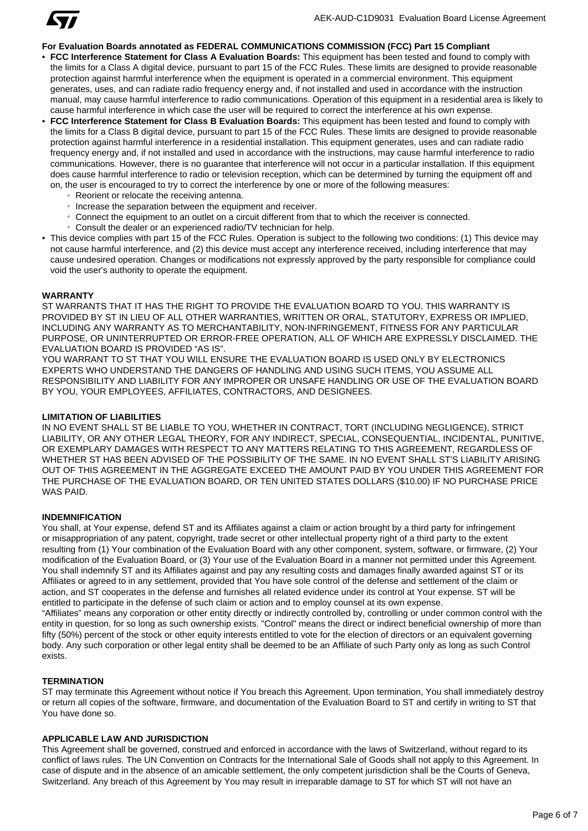

## **For Evaluation Boards annotated as FEDERAL COMMUNICATIONS COMMISSION (FCC) Part 15 Compliant**

- **FCC Interference Statement for Class A Evaluation Boards:** This equipment has been tested and found to comply with the limits for a Class A digital device, pursuant to part 15 of the FCC Rules. These limits are designed to provide reasonable protection against harmful interference when the equipment is operated in a commercial environment. This equipment generates, uses, and can radiate radio frequency energy and, if not installed and used in accordance with the instruction manual, may cause harmful interference to radio communications. Operation of this equipment in a residential area is likely to cause harmful interference in which case the user will be required to correct the interference at his own expense.
- **FCC Interference Statement for Class B Evaluation Boards:** This equipment has been tested and found to comply with the limits for a Class B digital device, pursuant to part 15 of the FCC Rules. These limits are designed to provide reasonable protection against harmful interference in a residential installation. This equipment generates, uses and can radiate radio frequency energy and, if not installed and used in accordance with the instructions, may cause harmful interference to radio communications. However, there is no guarantee that interference will not occur in a particular installation. If this equipment does cause harmful interference to radio or television reception, which can be determined by turning the equipment off and on, the user is encouraged to try to correct the interference by one or more of the following measures:
	- Reorient or relocate the receiving antenna.
	- Increase the separation between the equipment and receiver.
	- Connect the equipment to an outlet on a circuit different from that to which the receiver is connected.
	- Consult the dealer or an experienced radio/TV technician for help.
- This device complies with part 15 of the FCC Rules. Operation is subject to the following two conditions: (1) This device may not cause harmful interference, and (2) this device must accept any interference received, including interference that may cause undesired operation. Changes or modifications not expressly approved by the party responsible for compliance could void the user's authority to operate the equipment.

#### **WARRANTY**

ST WARRANTS THAT IT HAS THE RIGHT TO PROVIDE THE EVALUATION BOARD TO YOU. THIS WARRANTY IS PROVIDED BY ST IN LIEU OF ALL OTHER WARRANTIES, WRITTEN OR ORAL, STATUTORY, EXPRESS OR IMPLIED, INCLUDING ANY WARRANTY AS TO MERCHANTABILITY, NON-INFRINGEMENT, FITNESS FOR ANY PARTICULAR PURPOSE, OR UNINTERRUPTED OR ERROR-FREE OPERATION, ALL OF WHICH ARE EXPRESSLY DISCLAIMED. THE EVALUATION BOARD IS PROVIDED "AS IS".

YOU WARRANT TO ST THAT YOU WILL ENSURE THE EVALUATION BOARD IS USED ONLY BY ELECTRONICS EXPERTS WHO UNDERSTAND THE DANGERS OF HANDLING AND USING SUCH ITEMS, YOU ASSUME ALL RESPONSIBILITY AND LIABILITY FOR ANY IMPROPER OR UNSAFE HANDLING OR USE OF THE EVALUATION BOARD BY YOU, YOUR EMPLOYEES, AFFILIATES, CONTRACTORS, AND DESIGNEES.

#### **LIMITATION OF LIABILITIES**

IN NO EVENT SHALL ST BE LIABLE TO YOU, WHETHER IN CONTRACT, TORT (INCLUDING NEGLIGENCE), STRICT LIABILITY, OR ANY OTHER LEGAL THEORY, FOR ANY INDIRECT, SPECIAL, CONSEQUENTIAL, INCIDENTAL, PUNITIVE, OR EXEMPLARY DAMAGES WITH RESPECT TO ANY MATTERS RELATING TO THIS AGREEMENT, REGARDLESS OF WHETHER ST HAS BEEN ADVISED OF THE POSSIBILITY OF THE SAME. IN NO EVENT SHALL ST'S LIABILITY ARISING OUT OF THIS AGREEMENT IN THE AGGREGATE EXCEED THE AMOUNT PAID BY YOU UNDER THIS AGREEMENT FOR THE PURCHASE OF THE EVALUATION BOARD, OR TEN UNITED STATES DOLLARS (\$10.00) IF NO PURCHASE PRICE WAS PAID.

#### **INDEMNIFICATION**

You shall, at Your expense, defend ST and its Affiliates against a claim or action brought by a third party for infringement or misappropriation of any patent, copyright, trade secret or other intellectual property right of a third party to the extent resulting from (1) Your combination of the Evaluation Board with any other component, system, software, or firmware, (2) Your modification of the Evaluation Board, or (3) Your use of the Evaluation Board in a manner not permitted under this Agreement. You shall indemnify ST and its Affiliates against and pay any resulting costs and damages finally awarded against ST or its Affiliates or agreed to in any settlement, provided that You have sole control of the defense and settlement of the claim or action, and ST cooperates in the defense and furnishes all related evidence under its control at Your expense. ST will be entitled to participate in the defense of such claim or action and to employ counsel at its own expense. "Affiliates" means any corporation or other entity directly or indirectly controlled by, controlling or under common control with the entity in question, for so long as such ownership exists. "Control" means the direct or indirect beneficial ownership of more than fifty (50%) percent of the stock or other equity interests entitled to vote for the election of directors or an equivalent governing body. Any such corporation or other legal entity shall be deemed to be an Affiliate of such Party only as long as such Control

#### **TERMINATION**

exists.

ST may terminate this Agreement without notice if You breach this Agreement. Upon termination, You shall immediately destroy or return all copies of the software, firmware, and documentation of the Evaluation Board to ST and certify in writing to ST that You have done so.

## **APPLICABLE LAW AND JURISDICTION**

This Agreement shall be governed, construed and enforced in accordance with the laws of Switzerland, without regard to its conflict of laws rules. The UN Convention on Contracts for the International Sale of Goods shall not apply to this Agreement. In case of dispute and in the absence of an amicable settlement, the only competent jurisdiction shall be the Courts of Geneva, Switzerland. Any breach of this Agreement by You may result in irreparable damage to ST for which ST will not have an